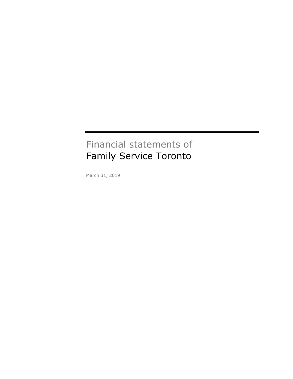# Financial statements of Family Service Toronto

March 31, 2019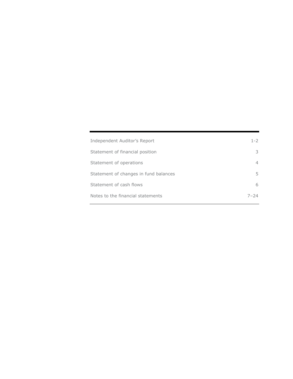| Independent Auditor's Report          | $1 - 2$        |
|---------------------------------------|----------------|
| Statement of financial position       | 3              |
| Statement of operations               | $\overline{4}$ |
| Statement of changes in fund balances | 5.             |
| Statement of cash flows               | 6              |
| Notes to the financial statements     | $7 - 24$       |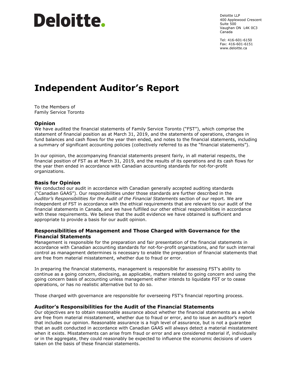# Deloitte.

Deloitte LLP 400 Applewood Crescent Suite 500 Vaughan ON L4K 0C3 Canada

Tel: 416-601-6150 Fax: 416-601-6151 www.deloitte.ca

# **Independent Auditor's Report**

To the Members of Family Service Toronto

# **Opinion**

We have audited the financial statements of Family Service Toronto ("FST"), which comprise the statement of financial position as at March 31, 2019, and the statements of operations, changes in fund balances and cash flows for the year then ended, and notes to the financial statements, including a summary of significant accounting policies (collectively referred to as the "financial statements").

In our opinion, the accompanying financial statements present fairly, in all material respects, the financial position of FST as at March 31, 2019, and the results of its operations and its cash flows for the year then ended in accordance with Canadian accounting standards for not-for-profit organizations.

# **Basis for Opinion**

We conducted our audit in accordance with Canadian generally accepted auditing standards ("Canadian GAAS"). Our responsibilities under those standards are further described in the *Auditor's Responsibilities for the Audit of the Financial Statements* section of our report. We are independent of FST in accordance with the ethical requirements that are relevant to our audit of the financial statements in Canada, and we have fulfilled our other ethical responsibilities in accordance with these requirements. We believe that the audit evidence we have obtained is sufficient and appropriate to provide a basis for our audit opinion.

# **Responsibilities of Management and Those Charged with Governance for the Financial Statements**

Management is responsible for the preparation and fair presentation of the financial statements in accordance with Canadian accounting standards for not-for-profit organizations, and for such internal control as management determines is necessary to enable the preparation of financial statements that are free from material misstatement, whether due to fraud or error.

In preparing the financial statements, management is responsible for assessing FST's ability to continue as a going concern, disclosing, as applicable, matters related to going concern and using the going concern basis of accounting unless management either intends to liquidate FST or to cease operations, or has no realistic alternative but to do so.

Those charged with governance are responsible for overseeing FST's financial reporting process.

#### **Auditor's Responsibilities for the Audit of the Financial Statements**

Our objectives are to obtain reasonable assurance about whether the financial statements as a whole are free from material misstatement, whether due to fraud or error, and to issue an auditor's report that includes our opinion. Reasonable assurance is a high level of assurance, but is not a guarantee that an audit conducted in accordance with Canadian GAAS will always detect a material misstatement when it exists. Misstatements can arise from fraud or error and are considered material if, individually or in the aggregate, they could reasonably be expected to influence the economic decisions of users taken on the basis of these financial statements.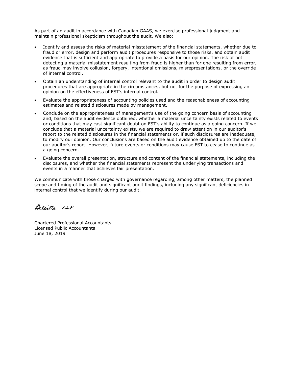As part of an audit in accordance with Canadian GAAS, we exercise professional judgment and maintain professional skepticism throughout the audit. We also:

- Identify and assess the risks of material misstatement of the financial statements, whether due to fraud or error, design and perform audit procedures responsive to those risks, and obtain audit evidence that is sufficient and appropriate to provide a basis for our opinion. The risk of not detecting a material misstatement resulting from fraud is higher than for one resulting from error, as fraud may involve collusion, forgery, intentional omissions, misrepresentations, or the override of internal control.
- Obtain an understanding of internal control relevant to the audit in order to design audit procedures that are appropriate in the circumstances, but not for the purpose of expressing an opinion on the effectiveness of FST's internal control.
- Evaluate the appropriateness of accounting policies used and the reasonableness of accounting estimates and related disclosures made by management.
- Conclude on the appropriateness of management's use of the going concern basis of accounting and, based on the audit evidence obtained, whether a material uncertainty exists related to events or conditions that may cast significant doubt on FST's ability to continue as a going concern. If we conclude that a material uncertainty exists, we are required to draw attention in our auditor's report to the related disclosures in the financial statements or, if such disclosures are inadequate, to modify our opinion. Our conclusions are based on the audit evidence obtained up to the date of our auditor's report. However, future events or conditions may cause FST to cease to continue as a going concern.
- Evaluate the overall presentation, structure and content of the financial statements, including the disclosures, and whether the financial statements represent the underlying transactions and events in a manner that achieves fair presentation.

We communicate with those charged with governance regarding, among other matters, the planned scope and timing of the audit and significant audit findings, including any significant deficiencies in internal control that we identify during our audit.

Delaitte LLP

Chartered Professional Accountants Licensed Public Accountants June 18, 2019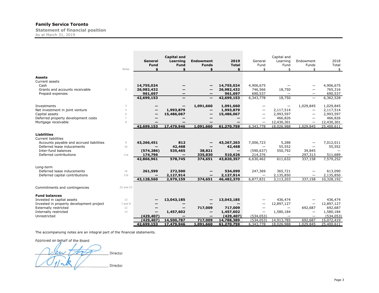**Statement of financial position** As at March 31, 2019

|                                                  | Notes           | General<br><b>Fund</b><br>\$ | <b>Capital and</b><br>Learning<br><b>Fund</b><br>\$ | <b>Endowment</b><br><b>Funds</b><br>\$ | 2019<br><b>Total</b><br>\$ | General<br>Fund<br>\$    | Capital and<br>Learning<br>Fund<br>\$ | Endowment<br>Funds<br>\$ | 2018<br>Total<br>\$ |
|--------------------------------------------------|-----------------|------------------------------|-----------------------------------------------------|----------------------------------------|----------------------------|--------------------------|---------------------------------------|--------------------------|---------------------|
| <b>Assets</b>                                    |                 |                              |                                                     |                                        |                            |                          |                                       |                          |                     |
| Current assets                                   |                 |                              |                                                     |                                        |                            |                          |                                       |                          |                     |
| Cash                                             |                 | 14,755,024                   |                                                     | $\qquad \qquad$                        | 14,755,024                 | 4,906,675                |                                       |                          | 4,906,675           |
| Grants and accounts receivable                   | 5               | 26,982,432                   |                                                     | $\qquad \qquad -$                      | 26,982,432                 | 746,566                  | 18,750                                | $\overline{\phantom{0}}$ | 765,316             |
| Prepaid expenses                                 |                 | 961,697                      |                                                     | —                                      | 961,697                    | 690,537                  |                                       |                          | 690,537             |
|                                                  |                 | 42,699,153                   |                                                     | $\overline{\phantom{m}}$               | 42,699,153                 | 6,343,778                | 18,750                                | $\overline{\phantom{0}}$ | 6,362,528           |
| Investments                                      | 3               |                              |                                                     | 1,091,660                              | 1,091,660                  |                          |                                       | 1,029,845                | 1,029,845           |
| Net investment in joint venture                  | $\overline{4}$  | —                            | 1,993,879                                           |                                        | 1,993,879                  | —                        | 2,117,514                             |                          | 2,117,514           |
| Capital assets                                   | 6               | $\qquad \qquad$              | 15,486,067                                          |                                        | 15,486,067                 |                          | 2,993,597                             |                          | 2,993,597           |
| Deferred property development costs              | $\overline{7}$  |                              |                                                     |                                        |                            |                          | 466,826                               |                          | 466,826             |
| Mortgage receivable                              | 8               |                              |                                                     |                                        |                            | $\overline{\phantom{0}}$ | 12,430,301                            |                          | 12,430,301          |
|                                                  |                 | 42,699,153                   | 17,479,946                                          | 1,091,660                              | 61,270,759                 | 6,343,778                | 18,026,988                            | 1,029,845                | 25,400,611          |
| <b>Liabilities</b><br><b>Current liabilities</b> |                 |                              |                                                     |                                        |                            |                          |                                       |                          |                     |
| Accounts payable and accrued liabilities         | 9               | 43,266,451                   | 812                                                 | -                                      | 43,267,263                 | 7,006,723                | 5,288                                 |                          | 7,012,011           |
| Deferred lease inducements                       | 16              |                              | 42,468                                              |                                        | 42,468                     |                          | 55,552                                |                          | 55,552              |
| Inter-fund balances                              |                 | (574, 286)                   | 535,465                                             | 38,821                                 | $\overline{\phantom{m}}$   | (590, 637)               | 550,792                               | 39,845                   |                     |
| Deferred contributions                           | 11a             | 174,796                      | $\overline{\phantom{m}}$                            | 335,830                                | 510,626                    | 214,376                  | $\overline{\phantom{m}}$              | 297,313                  | 511,689             |
|                                                  |                 | 42,866,961                   | 578,745                                             | 374,651                                | 43,820,357                 | 6,630,462                | 611,632                               | 337,158                  | 7,579,252           |
| Long-term                                        |                 |                              |                                                     |                                        |                            |                          |                                       |                          |                     |
| Deferred lease inducements                       | 16              | 261,599                      | 272,500                                             |                                        | 534,099                    | 247,369                  | 365,721                               |                          | 613,090             |
| Deferred capital contributions                   | 11 <sub>b</sub> |                              | 2,127,914                                           |                                        | 2,127,914                  |                          | 2,135,850                             |                          | 2,135,850           |
|                                                  |                 | 43,128,560                   | 2,979,159                                           | 374,651                                | 46,482,370                 | 6,877,831                | 3,113,203                             | 337,158                  | 10,328,192          |
| Commitments and contingencies                    | 22 and 23       |                              |                                                     |                                        |                            |                          |                                       |                          |                     |
| <b>Fund balances</b>                             |                 |                              |                                                     |                                        |                            |                          |                                       |                          |                     |
| Invested in capital assets                       | 13              |                              | 13,043,185                                          |                                        | 13,043,185                 |                          | 436,474                               |                          | 436,474             |
| Invested in property development project         | 7 and 8         |                              |                                                     |                                        |                            |                          | 12,897,127                            |                          | 12,897,127          |
| Externally restricted                            | 12              |                              |                                                     | 717,009                                | 717,009                    | -                        |                                       | 692,687                  | 692,687             |
| Internally restricted                            | 13              | $\qquad \qquad$              | 1,457,602                                           | —                                      | 1,457,602                  |                          | 1,580,184                             | $\overline{\phantom{0}}$ | 1,580,184           |
| Unrestricted                                     |                 | (429, 407)                   | $\overline{\phantom{0}}$                            | $\overline{\phantom{m}}$               | (429, 407)                 | (534.053)                | $\overline{\phantom{0}}$              |                          | (534, 053)          |
|                                                  |                 | (429,407)                    | 14,500,787                                          | 717,009                                | 14,788,389                 | (534.053)                | 14,913,785                            | 692,687                  | 15,072,419          |
|                                                  |                 | 42,699,153                   | 17,479,946                                          | 1,091,660                              | 61,270,759                 | 6,343,778                | 18,026,988                            | 1,029,845                | 25,400,611          |

The accompanying notes are an integral part of the financial statements.

Approved on behalf of the Board

\_\_\_\_\_\_\_\_\_\_\_\_\_\_\_\_\_\_\_\_\_\_\_\_\_\_\_\_\_\_\_\_\_\_\_ Director \_\_\_\_\_\_\_\_\_\_\_\_\_\_\_\_\_\_\_\_\_\_\_\_\_\_\_\_\_\_\_\_\_\_\_ Director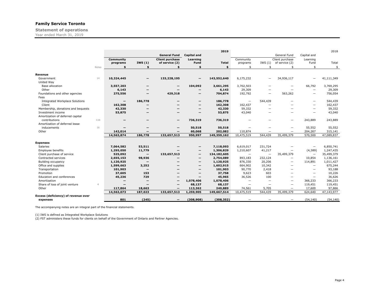**Statement of operations** Year ended March 31, 2019

|                                       |                 |                   |                              |                              |                          | 2019         |                          |                          |                          |                          | 2018          |
|---------------------------------------|-----------------|-------------------|------------------------------|------------------------------|--------------------------|--------------|--------------------------|--------------------------|--------------------------|--------------------------|---------------|
|                                       |                 |                   |                              | <b>General Fund</b>          | <b>Capital and</b>       |              |                          |                          | General Fund             | Capital and              |               |
|                                       |                 | Community         |                              | <b>Client purchase</b>       | Learning                 |              | Community                |                          | Client purchase          | Learning                 |               |
|                                       |                 | programs          | IWS(1)                       | of service (2)               | Fund                     | <b>Total</b> | programs                 | IWS(1)                   | of service (2)           | Fund                     | Total         |
|                                       | Notes           | \$                | 朱                            | \$                           | \$                       | \$           | \$                       | ፋ                        | \$                       | \$                       | $\frac{1}{2}$ |
| Revenue                               |                 |                   |                              |                              |                          |              |                          |                          |                          |                          |               |
| Government                            | 14              | 10,324,445        | $\qquad \qquad \blacksquare$ | 133,228,195                  | $\overline{\phantom{m}}$ | 143,552,640  | 6,175,232                | $\overline{\phantom{0}}$ | 34,936,117               |                          | 41,111,349    |
| United Way                            |                 |                   |                              |                              |                          |              |                          |                          |                          |                          |               |
| Base allocation                       |                 | 3,557,203         | $\qquad \qquad$              | $\overline{\phantom{0}}$     | 104,092                  | 3,661,295    | 3,702,503                | $\overline{\phantom{0}}$ |                          | 66,792                   | 3,769,295     |
| Other                                 |                 | 6,143             | $\qquad \qquad \blacksquare$ |                              | $\overline{\phantom{m}}$ | 6,143        | 29,309                   | -                        |                          | $\qquad \qquad -$        | 29,309        |
| Foundations and other agencies        |                 | 275,556           | $-$                          | 429,318                      | $\overline{\phantom{m}}$ | 704,874      | 192,792                  | $\overline{\phantom{0}}$ | 563,262                  | $\qquad \qquad -$        | 756,054       |
| Fees                                  |                 |                   |                              |                              |                          |              |                          |                          |                          |                          |               |
| <b>Integrated Workplace Solutions</b> |                 | $\qquad \qquad -$ | 186,778                      |                              | $\overline{\phantom{m}}$ | 186,778      | $\overline{\phantom{0}}$ | 544,439                  |                          | —                        | 544,439       |
| Client                                |                 | 162,308           | $\overline{\phantom{m}}$     | $\overline{\phantom{0}}$     | $\overline{\phantom{m}}$ | 162,308      | 162,437                  | $\overline{\phantom{0}}$ | $\overline{\phantom{0}}$ | $\overline{\phantom{0}}$ | 162,437       |
| Membership, donations and bequests    |                 | 42,330            |                              |                              |                          | 42,330       | 59,332                   | $\overline{\phantom{0}}$ |                          | $\overline{\phantom{0}}$ | 59,332        |
| Investment income                     |                 | 53,875            | -                            |                              |                          | 53,875       | 43,040                   | -                        |                          |                          | 43,040        |
| Amortization of deferred capital      |                 |                   |                              |                              |                          |              |                          |                          |                          |                          |               |
| contributions                         | 11 <sub>b</sub> |                   | $\qquad \qquad$              | $\qquad \qquad \blacksquare$ | 736,319                  | 736,319      |                          | -                        |                          | 243,889                  | 243,889       |
| Amortization of deferred lease        |                 |                   |                              |                              |                          |              |                          |                          |                          |                          |               |
| inducements                           | 16              | -                 | $\overline{\phantom{m}}$     | $\overline{\phantom{m}}$     | 50,518                   | 50,518       |                          | $\overline{\phantom{0}}$ | $\overline{\phantom{0}}$ | 55,552                   | 55,552        |
| Other                                 |                 | 142,014           |                              |                              | 60,068                   | 202,082      | 110,874                  |                          |                          | 204,267                  | 315,141       |
|                                       |                 | 14,563,874        | 186,778                      | 133,657,513                  | 950,997                  | 149,359,162  | 10,475,519               | 544,439                  | 35,499,379               | 570,500                  | 47,089,837    |
|                                       |                 |                   |                              |                              |                          |              |                          |                          |                          |                          |               |
| <b>Expenses</b>                       |                 |                   |                              |                              |                          |              |                          |                          |                          |                          |               |
| Salaries                              |                 | 7,064,582         | 53,511                       |                              | $\overline{\phantom{m}}$ | 7,118,093    | 6,619,017                | 231,724                  |                          | $\overline{\phantom{m}}$ | 6,850,741     |
| Employee benefits                     |                 | 1,295,050         | 11,779                       | $\overline{\phantom{0}}$     | $\overline{\phantom{m}}$ | 1,306,829    | 1,210,607                | 41,217                   |                          | (4, 389)                 | 1,247,435     |
| Client purchase of service            |                 | 525,092           | $\overline{\phantom{m}}$     | 133,657,513                  | $\overline{\phantom{m}}$ | 134,182,605  | $\qquad \qquad -$        | $\overline{\phantom{m}}$ | 35,499,379               | $\overline{\phantom{m}}$ | 35,499,379    |
| Contracted services                   |                 | 2,655,153         | 98,936                       |                              | $\overline{\phantom{m}}$ | 2,754,089    | 893,183                  | 232,124                  | $\overline{\phantom{0}}$ | 10,854                   | 1,136,161     |
| Building occupancy                    |                 | 1,120,925         |                              |                              | $\overline{\phantom{m}}$ | 1,120,925    | 876,330                  | 20,206                   | $\overline{\phantom{0}}$ | 114,891                  | 1,011,427     |
| Office and supplies                   |                 | 1,599,663         | 3,252                        |                              | $\overline{\phantom{m}}$ | 1,602,915    | 664,902                  | 10,342                   |                          | $\overline{\phantom{0}}$ | 675,244       |
| Transportation                        |                 | 101,903           | $\qquad \qquad -$            |                              | $\overline{\phantom{m}}$ | 101,903      | 90,770                   | 2,418                    |                          | $\overline{\phantom{a}}$ | 93,188        |
| Promotion                             |                 | 37,605            | 153                          |                              | $\overline{\phantom{m}}$ | 37,758       | 9,623                    | 603                      |                          | $\qquad \qquad -$        | 10,226        |
| Education and conferences             |                 | 45,236            | 729                          | $\overline{\phantom{0}}$     | $\overline{\phantom{m}}$ | 45,965       | 36,526                   | 100                      | $\overline{\phantom{0}}$ | $\overline{\phantom{0}}$ | 36,626        |
| Amortization                          |                 |                   | $\overline{\phantom{0}}$     | $\overline{\phantom{0}}$     | 1,078,406                | 1,078,406    |                          | $\overline{\phantom{0}}$ |                          | 366,233                  | 366,233       |
| Share of loss of joint venture        | $\overline{4}$  |                   | $\qquad \qquad \blacksquare$ | $\overline{\phantom{0}}$     | 68,137                   | 68,137       |                          | $\overline{\phantom{0}}$ | $\overline{\phantom{0}}$ | 119,451                  | 119,451       |
| Other                                 |                 | 117,864           | 18,663                       | $\qquad \qquad \blacksquare$ | 113,362                  | 249,889      | 74,561                   | 5.705                    | $\overline{\phantom{0}}$ | 17,600                   | 97,866        |
|                                       |                 | 14,563,073        | 187,023                      | 133,657,513                  | 1,259,905                | 149,667,514  | 10,475,519               | 544,439                  | 35,499,379               | 624,640                  | 47,143,977    |
| Excess (deficiency) of revenue over   |                 |                   |                              |                              |                          |              |                          |                          |                          |                          |               |
| expenses                              |                 | 801               | (245)                        | $\qquad \qquad =$            | (308, 908)               | (308, 352)   | $\qquad \qquad -$        |                          | -                        | (54, 140)                | (54, 140)     |

The accompanying notes are an integral part of the financial statements.

(1) IWS is defined as Integrated Workplace Solutions

(2) FST administers these funds for clients on behalf of the Government of Ontario and Partner Agencies.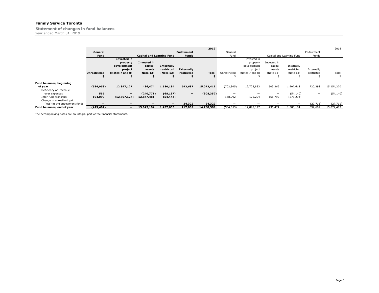**Statement of changes in fund balances** Year ended March 31, 2019

|                               |                     |                          |                                  |            |                          | 2019       |                          |                          |                          |                           |                          | 2018       |
|-------------------------------|---------------------|--------------------------|----------------------------------|------------|--------------------------|------------|--------------------------|--------------------------|--------------------------|---------------------------|--------------------------|------------|
|                               | General             |                          |                                  |            | <b>Endowment</b>         |            | General                  |                          |                          |                           | Endowment                |            |
|                               | Fund                |                          | <b>Capital and Learning Fund</b> |            | Funds                    |            | Fund                     |                          |                          | Capital and Learning Fund | Funds                    |            |
|                               |                     | Invested in              |                                  |            |                          |            |                          | Invested in              |                          |                           |                          |            |
|                               |                     | property                 | Invested in                      |            |                          |            |                          | property                 | Invested in              |                           |                          |            |
|                               |                     | development              | capital                          | Internally |                          |            |                          | development              | capital                  | Internally                |                          |            |
|                               |                     | project                  | assets                           | restricted | Externally               |            |                          | project                  | assets                   | restricted                | Externally               |            |
|                               | <b>Unrestricted</b> | (Notes 7 and 8)          | (Note 13)                        | (Note 13)  | restricted               | Total      | Unrestricted             | (Notes 7 and 8)          | (Note 13)                | (Note 13)                 | restricted               | Total      |
|                               |                     |                          |                                  |            |                          |            |                          |                          |                          |                           |                          |            |
|                               |                     |                          |                                  |            |                          |            |                          |                          |                          |                           |                          |            |
| Fund balances, beginning      |                     |                          |                                  |            |                          |            |                          |                          |                          |                           |                          |            |
| of year                       | (534, 053)          | 12,897,127               | 436,474                          | 1,580,184  | 692,687                  | 15,072,419 | (702, 845)               | 12,725,833               | 503,266                  | 1,907,618                 | 720,398                  | 15,154,270 |
| Deficiency of revenue         |                     |                          |                                  |            |                          |            |                          |                          |                          |                           |                          |            |
| over expenses                 | 556                 | $\overline{\phantom{0}}$ | (240,771)                        | (68, 137)  | $\overline{\phantom{0}}$ | (308, 352) | $\overline{\phantom{0}}$ | -                        | $\overline{\phantom{0}}$ | (54, 140)                 | $\qquad \qquad$          | (54, 140)  |
| Inter-fund transfers          | 104,090             | (12,897,127)             | 12,847,481                       | (54, 444)  | $\overline{\phantom{0}}$ | —          | 168,792                  | 171,294                  | (66, 792)                | (273, 294)                | $\overline{\phantom{0}}$ |            |
| Change in unrealized gain     |                     |                          |                                  |            |                          |            |                          |                          |                          |                           |                          |            |
| (loss) in the endowment funds | -                   |                          |                                  | -          | 24,322                   | 24,322     | $\overline{\phantom{0}}$ | $\overline{\phantom{0}}$ |                          | $\overline{\phantom{0}}$  | (27, 711)                | (27, 711)  |
| Fund balances, end of vear    | (429, 407)          | $\overline{\phantom{0}}$ | 13,043,184                       | 1,457,603  | 717,009                  | 14,788,389 | (534, 053)               | 12.897.127               | 436,474                  | 1.580.184                 | 692.687                  | 15,072,419 |

The accompanying notes are an integral part of the financial statements.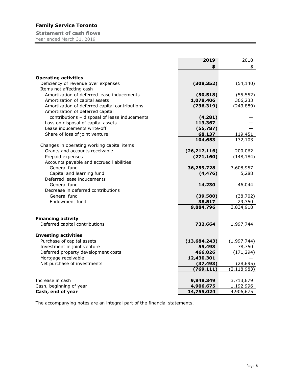**Statement of cash flows** Year ended March 31, 2019

|                                                | 2019           | 2018          |
|------------------------------------------------|----------------|---------------|
|                                                | \$             | \$            |
|                                                |                |               |
| <b>Operating activities</b>                    |                |               |
| Deficiency of revenue over expenses            | (308, 352)     | (54, 140)     |
| Items not affecting cash                       |                |               |
| Amortization of deferred lease inducements     | (50, 518)      | (55, 552)     |
| Amortization of capital assets                 | 1,078,406      | 366,233       |
| Amortization of deferred capital contributions | (736, 319)     | (243, 889)    |
| Amortization of deferred capital               |                |               |
| contributions - disposal of lease inducements  | (4, 281)       |               |
| Loss on disposal of capital assets             | 113,367        |               |
| Lease inducements write-off                    | (55, 787)      |               |
| Share of loss of joint venture                 | 68,137         | 119,451       |
|                                                | 104,653        | 132,103       |
| Changes in operating working capital items     |                |               |
| Grants and accounts receivable                 | (26, 217, 116) | 200,062       |
| Prepaid expenses                               | (271, 160)     | (148, 184)    |
| Accounts payable and accrued liabilities       |                |               |
| General fund                                   | 36,259,728     | 3,608,957     |
| Capital and learning fund                      | (4, 476)       | 5,288         |
| Deferred lease inducements                     |                |               |
| General fund                                   | 14,230         | 46,044        |
| Decrease in deferred contributions             |                |               |
| General fund                                   | (39, 580)      | (38, 702)     |
| Endowment fund                                 | 38,517         | 29,350        |
|                                                | 9,884,796      | 3,834,918     |
|                                                |                |               |
| <b>Financing activity</b>                      |                |               |
| Deferred capital contributions                 | 732,664        | 1,997,744     |
| <b>Investing activities</b>                    |                |               |
| Purchase of capital assets                     | (13, 684, 243) | (1,997,744)   |
| Investment in joint venture                    | 55,498         | 78,750        |
| Deferred property development costs            | 466,826        | (171, 294)    |
| Mortgage receivable                            | 12,430,301     |               |
| Net purchase of investments                    | (37, 493)      | (28, 695)     |
|                                                | (769, 111)     | (2, 118, 983) |
|                                                |                |               |
| Increase in cash                               | 9,848,349      | 3,713,679     |
| Cash, beginning of year                        | 4,906,675      | 1,192,996     |
| Cash, end of year                              | 14,755,024     | 4,906,675     |

The accompanying notes are an integral part of the financial statements.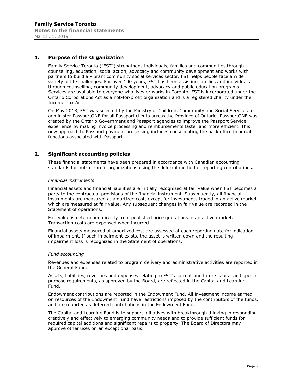# **1. Purpose of the Organization**

Family Service Toronto ("FST") strengthens individuals, families and communities through counselling, education, social action, advocacy and community development and works with partners to build a vibrant community social services sector. FST helps people face a wide variety of life challenges. For over 100 years, FST has been assisting families and individuals through counselling, community development, advocacy and public education programs. Services are available to everyone who lives or works in Toronto. FST is incorporated under the Ontario Corporations Act as a not-for-profit organization and is a registered charity under the Income Tax Act.

On May 2018, FST was selected by the Ministry of Children, Community and Social Services to administer PassportONE for all Passport clients across the Province of Ontario. PassportONE was created by the Ontario Government and Passport agencies to improve the Passport Service experience by making invoice processing and reimbursements faster and more efficient. This new approach to Passport payment processing includes consolidating the back office financial functions associated with Passport.

# **2. Significant accounting policies**

These financial statements have been prepared in accordance with Canadian accounting standards for not-for-profit organizations using the deferral method of reporting contributions.

#### *Financial instruments*

Financial assets and financial liabilities are initially recognized at fair value when FST becomes a party to the contractual provisions of the financial instrument. Subsequently, all financial instruments are measured at amortized cost, except for investments traded in an active market which are measured at fair value. Any subsequent changes in fair value are recorded in the Statement of operations.

Fair value is determined directly from published price quotations in an active market. Transaction costs are expensed when incurred.

Financial assets measured at amortized cost are assessed at each reporting date for indication of impairment. If such impairment exists, the asset is written down and the resulting impairment loss is recognized in the Statement of operations.

#### *Fund accounting*

Revenues and expenses related to program delivery and administrative activities are reported in the General Fund.

Assets, liabilities, revenues and expenses relating to FST's current and future capital and special purpose requirements, as approved by the Board, are reflected in the Capital and Learning Fund.

Endowment contributions are reported in the Endowment Fund. All investment income earned on resources of the Endowment Fund have restrictions imposed by the contributors of the funds, and are reported as deferred contributions in the Endowment Fund.

The Capital and Learning Fund is to support initiatives with breakthrough thinking in responding creatively and effectively to emerging community needs and to provide sufficient funds for required capital additions and significant repairs to property. The Board of Directors may approve other uses on an exceptional basis.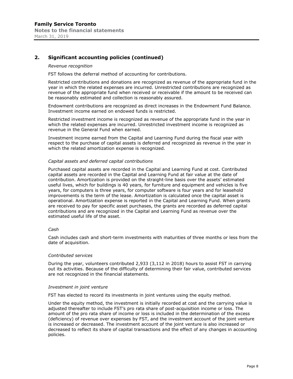# **2. Significant accounting policies (continued)**

#### *Revenue recognition*

FST follows the deferral method of accounting for contributions.

Restricted contributions and donations are recognized as revenue of the appropriate fund in the year in which the related expenses are incurred. Unrestricted contributions are recognized as revenue of the appropriate fund when received or receivable if the amount to be received can be reasonably estimated and collection is reasonably assured.

Endowment contributions are recognized as direct increases in the Endowment Fund Balance. Investment income earned on endowed funds is restricted.

Restricted investment income is recognized as revenue of the appropriate fund in the year in which the related expenses are incurred. Unrestricted investment income is recognized as revenue in the General Fund when earned.

Investment income earned from the Capital and Learning Fund during the fiscal year with respect to the purchase of capital assets is deferred and recognized as revenue in the year in which the related amortization expense is recognized.

#### *Capital assets and deferred capital contributions*

Purchased capital assets are recorded in the Capital and Learning Fund at cost. Contributed capital assets are recorded in the Capital and Learning Fund at fair value at the date of contribution. Amortization is provided on the straight-line basis over the assets' estimated useful lives, which for buildings is 40 years, for furniture and equipment and vehicles is five years, for computers is three years, for computer software is four years and for leasehold improvements is the term of the lease. Amortization is calculated once the capital asset is operational. Amortization expense is reported in the Capital and Learning Fund. When grants are received to pay for specific asset purchases, the grants are recorded as deferred capital contributions and are recognized in the Capital and Learning Fund as revenue over the estimated useful life of the asset.

#### *Cash*

Cash includes cash and short-term investments with maturities of three months or less from the date of acquisition.

#### *Contributed services*

During the year, volunteers contributed 2,933 (3,112 in 2018) hours to assist FST in carrying out its activities. Because of the difficulty of determining their fair value, contributed services are not recognized in the financial statements.

#### *Investment in joint venture*

FST has elected to record its investments in joint ventures using the equity method.

Under the equity method, the investment is initially recorded at cost and the carrying value is adjusted thereafter to include FST's pro rata share of post-acquisition income or loss. The amount of the pro rata share of income or loss is included in the determination of the excess (deficiency) of revenue over expenses by FST, and the investment account of the joint venture is increased or decreased. The investment account of the joint venture is also increased or decreased to reflect its share of capital transactions and the effect of any changes in accounting policies.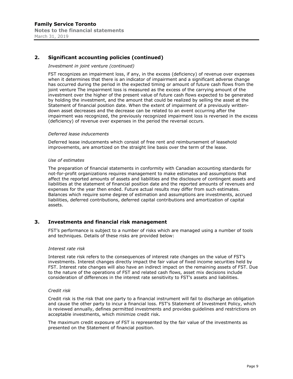# **2. Significant accounting policies (continued)**

#### *Investment in joint venture (continued)*

FST recognizes an impairment loss, if any, in the excess (deficiency) of revenue over expenses when it determines that there is an indicator of impairment and a significant adverse change has occurred during the period in the expected timing or amount of future cash flows from the joint venture The impairment loss is measured as the excess of the carrying amount of the investment over the higher of the present value of future cash flows expected to be generated by holding the investment, and the amount that could be realized by selling the asset at the Statement of financial position date. When the extent of impairment of a previously writtendown asset decreases and the decrease can be related to an event occurring after the impairment was recognized, the previously recognized impairment loss is reversed in the excess (deficiency) of revenue over expenses in the period the reversal occurs.

#### *Deferred lease inducements*

Deferred lease inducements which consist of free rent and reimbursement of leasehold improvements, are amortized on the straight line basis over the term of the lease.

#### *Use of estimates*

The preparation of financial statements in conformity with Canadian accounting standards for not-for-profit organizations requires management to make estimates and assumptions that affect the reported amounts of assets and liabilities and the disclosure of contingent assets and liabilities at the statement of financial position date and the reported amounts of revenues and expenses for the year then ended. Future actual results may differ from such estimates. Balances which require some degree of estimation and assumptions are investments, accrued liabilities, deferred contributions, deferred capital contributions and amortization of capital assets.

# **3. Investments and financial risk management**

FST's performance is subject to a number of risks which are managed using a number of tools and techniques. Details of these risks are provided below:

#### *Interest rate risk*

Interest rate risk refers to the consequences of interest rate changes on the value of FST's investments. Interest changes directly impact the fair value of fixed income securities held by FST. Interest rate changes will also have an indirect impact on the remaining assets of FST. Due to the nature of the operations of FST and related cash flows, asset mix decisions include consideration of differences in the interest rate sensitivity to FST's assets and liabilities.

#### *Credit risk*

Credit risk is the risk that one party to a financial instrument will fail to discharge an obligation and cause the other party to incur a financial loss. FST's Statement of Investment Policy, which is reviewed annually, defines permitted investments and provides guidelines and restrictions on acceptable investments, which minimize credit risk.

The maximum credit exposure of FST is represented by the fair value of the investments as presented on the Statement of financial position.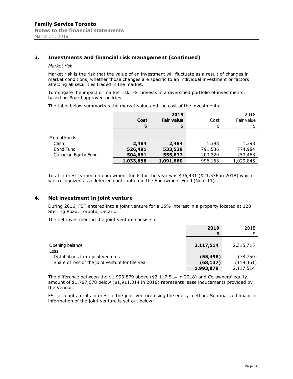# **3. Investments and financial risk management (continued)**

#### *Market risk*

Market risk is the risk that the value of an investment will fluctuate as a result of changes in market conditions, whether those changes are specific to an individual investment or factors affecting all securities traded in the market.

To mitigate the impact of market risk, FST invests in a diversified portfolio of investments, based on Board approved policies.

The table below summarizes the market value and the cost of the investments:

|                      | Cost      | 2019<br><b>Fair value</b> | Cost    | 2018<br>Fair value |
|----------------------|-----------|---------------------------|---------|--------------------|
| <b>Mutual Funds</b>  |           |                           |         |                    |
| Cash                 | 2,484     | 2,484                     | 1,398   | 1,398              |
| Bond Fund            | 526,491   | 533,539                   | 791,536 | 774,984            |
| Canadian Equity Fund | 504,681   | 555,637                   | 203,229 | 253,463            |
|                      | 1,033,656 | 1,091,660                 | 996,163 | 1,029,845          |

Total interest earned on endowment funds for the year was \$36,431 (\$21,536 in 2018) which was recognized as a deferred contribution in the Endowment Fund (Note 11).

# **4. Net investment in joint venture**

During 2016, FST entered into a joint venture for a 15% interest in a property located at 128 Sterling Road, Toronto, Ontario.

The net investment in the joint venture consists of:

|                                                 | 2019                  | 2018                   |
|-------------------------------------------------|-----------------------|------------------------|
|                                                 |                       |                        |
| Opening balance                                 | 2,117,514             | 2,315,715              |
| Less<br>Distributions from joint ventures       | (55, 498)             | (78, 750)              |
| Share of loss of the joint venture for the year | (68,137)<br>1,993,879 | (119,451)<br>2,117,514 |

The difference between the  $$1,993,879$  above ( $$2,117,514$  in 2018) and Co-owners' equity amount of \$1,787,678 below (\$1,911,314 in 2018) represents lease inducements provided by the Vendor.

FST accounts for its interest in the joint venture using the equity method. Summarized financial information of the joint venture is set out below: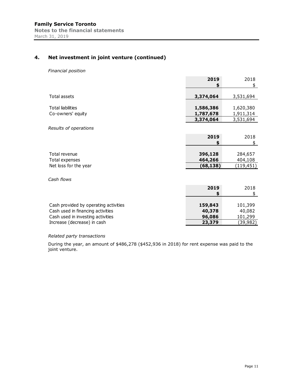# **4. Net investment in joint venture (continued)**

# *Financial position*

|                       | 2019      | 2018       |
|-----------------------|-----------|------------|
|                       | \$        | \$         |
|                       |           |            |
| Total assets          | 3,374,064 | 3,531,694  |
|                       |           |            |
| Total liabilities     | 1,586,386 | 1,620,380  |
| Co-owners' equity     | 1,787,678 | 1,911,314  |
|                       | 3,374,064 | 3,531,694  |
| Results of operations |           |            |
|                       | 2019      | 2018       |
|                       | S         | \$         |
|                       |           |            |
| Total revenue         | 396,128   | 284,657    |
| Total expenses        | 464,266   | 404,108    |
| Net loss for the year | (68, 138) | (119, 451) |
|                       |           |            |

*Cash flows* 

|                                                                                                                 | 2019                        | 2018                         |
|-----------------------------------------------------------------------------------------------------------------|-----------------------------|------------------------------|
| Cash provided by operating activities<br>Cash used in financing activities<br>Cash used in investing activities | 159,843<br>40,378<br>96,086 | 101,399<br>40,082<br>101,299 |
| Increase (decrease) in cash                                                                                     | 23,379                      | (39,982)                     |

#### *Related party transactions*

During the year, an amount of \$486,278 (\$452,936 in 2018) for rent expense was paid to the joint venture.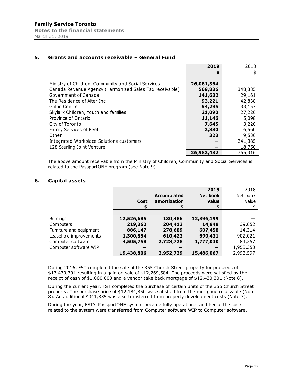|                                                         | 2019       | 2018    |
|---------------------------------------------------------|------------|---------|
|                                                         | S          |         |
|                                                         |            |         |
| Ministry of Children, Community and Social Services     | 26,081,364 |         |
| Canada Revenue Agency (Harmonized Sales Tax receivable) | 568,836    | 348,385 |
| Government of Canada                                    | 141,632    | 29,161  |
| The Residence of Alter Inc.                             | 93,221     | 42,838  |
| Griffin Centre                                          | 54,295     | 33,157  |
| Skylark Children, Youth and families                    | 21,090     | 27,226  |
| Province of Ontario                                     | 11,146     | 5,098   |
| City of Toronto                                         | 7,645      | 3,220   |
| Family Services of Peel                                 | 2,880      | 6,560   |
| Other                                                   | 323        | 9,536   |
| Integrated Workplace Solutions customers                |            | 241,385 |
| 128 Sterling Joint Venture                              |            | 18,750  |
|                                                         | 26,982,432 | 765,316 |

#### **5. Grants and accounts receivable – General Fund**

The above amount receivable from the Ministry of Children, Community and Social Services is related to the PassportONE program (see Note 9).

# **6. Capital assets**

|                         |            |                    | 2019            | 2018      |
|-------------------------|------------|--------------------|-----------------|-----------|
|                         |            | <b>Accumulated</b> | <b>Net book</b> | Net book  |
|                         | Cost       | amortization       | value           | value     |
|                         | S          |                    | S               | \$        |
|                         |            |                    |                 |           |
| <b>Buildings</b>        | 12,526,685 | 130,486            | 12,396,199      |           |
| Computers               | 219,362    | 204,413            | 14,949          | 39,652    |
| Furniture and equipment | 886,147    | 278,689            | 607,458         | 14,314    |
| Leasehold improvements  | 1,300,854  | 610,423            | 690,431         | 902,021   |
| Computer software       | 4,505,758  | 2,728,728          | 1,777,030       | 84,257    |
| Computer software WIP   |            |                    |                 | 1,953,353 |
|                         | 19,438,806 | 3,952,739          | 15,486,067      | 2,993,597 |

During 2016, FST completed the sale of the 355 Church Street property for proceeds of \$13,430,301 resulting in a gain on sale of \$12,269,584. The proceeds were satisfied by the receipt of cash of \$1,000,000 and a vendor take back mortgage of \$12,430,301 (Note 8).

During the current year, FST completed the purchase of certain units of the 355 Church Street property. The purchase price of \$12,184,850 was satisfied from the mortgage receivable (Note 8). An additional \$341,835 was also transferred from property development costs (Note 7).

During the year, FST's PassportONE system became fully operational and hence the costs related to the system were transferred from Computer software WIP to Computer software.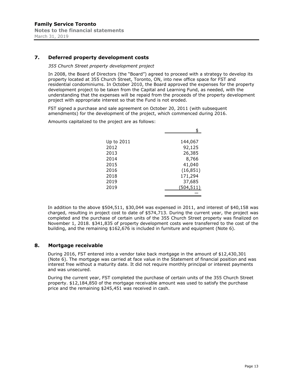# **7. Deferred property development costs**

#### *355 Church Street property development project*

In 2008, the Board of Directors (the "Board") agreed to proceed with a strategy to develop its property located at 355 Church Street, Toronto, ON, into new office space for FST and residential condominiums. In October 2010, the Board approved the expenses for the property development project to be taken from the Capital and Learning Fund, as needed, with the understanding that the expenses will be repaid from the proceeds of the property development project with appropriate interest so that the Fund is not eroded.

FST signed a purchase and sale agreement on October 20, 2011 (with subsequent amendments) for the development of the project, which commenced during 2016.

Amounts capitalized to the project are as follows:

| Up to 2011 | 144,067   |
|------------|-----------|
| 2012       | 92,125    |
| 2013       | 26,385    |
| 2014       | 8,766     |
| 2015       | 41,040    |
| 2016       | (16, 851) |
| 2018       | 171,294   |
| 2019       | 37,685    |
| 2019       | (504,511) |
|            |           |

 $\ddotmark$ 

In addition to the above \$504,511, \$30,044 was expensed in 2011, and interest of \$40,158 was charged, resulting in project cost to date of \$574,713. During the current year, the project was completed and the purchase of certain units of the 355 Church Street property was finalized on November 1, 2018. \$341,835 of property development costs were transferred to the cost of the building, and the remaining \$162,676 is included in furniture and equipment (Note 6).

#### **8. Mortgage receivable**

During 2016, FST entered into a vendor take back mortgage in the amount of \$12,430,301 (Note 6). The mortgage was carried at face value in the Statement of financial position and was interest free without a maturity date. It did not require monthly principal or interest payments and was unsecured.

During the current year, FST completed the purchase of certain units of the 355 Church Street property. \$12,184,850 of the mortgage receivable amount was used to satisfy the purchase price and the remaining \$245,451 was received in cash.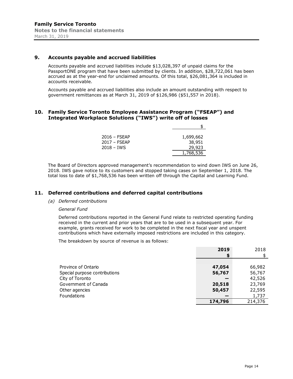#### **9. Accounts payable and accrued liabilities**

Accounts payable and accrued liabilities include \$13,028,397 of unpaid claims for the PassportONE program that have been submitted by clients. In addition, \$28,722,061 has been accrued as at the year-end for unclaimed amounts. Of this total, \$26,081,364 is included in accounts receivable.

Accounts payable and accrued liabilities also include an amount outstanding with respect to government remittances as at March 31, 2019 of \$126,986 (\$51,557 in 2018).

# **10. Family Service Toronto Employee Assistance Program ("FSEAP") and Integrated Workplace Solutions ("IWS") write off of losses**

| $2016$ – FSEAP | 1,699,662 |
|----------------|-----------|
| $2017 - FSEAP$ | 38,951    |
| $2018 - IWS$   | 29,923    |
|                | 1,768,536 |

The Board of Directors approved management's recommendation to wind down IWS on June 26, 2018. IWS gave notice to its customers and stopped taking cases on September 1, 2018. The total loss to date of \$1,768,536 has been written off through the Capital and Learning Fund.

#### **11. Deferred contributions and deferred capital contributions**

#### *(a) Deferred contributions*

#### *General Fund*

Deferred contributions reported in the General Fund relate to restricted operating funding received in the current and prior years that are to be used in a subsequent year. For example, grants received for work to be completed in the next fiscal year and unspent contributions which have externally imposed restrictions are included in this category.

The breakdown by source of revenue is as follows:

|                               | 2019    | 2018    |
|-------------------------------|---------|---------|
|                               |         |         |
|                               |         |         |
| Province of Ontario           | 47,054  | 66,982  |
| Special purpose contributions | 56,767  | 56,767  |
| City of Toronto               |         | 42,526  |
| Government of Canada          | 20,518  | 23,769  |
| Other agencies                | 50,457  | 22,595  |
| Foundations                   |         | 1,737   |
|                               | 174,796 | 214,376 |
|                               |         |         |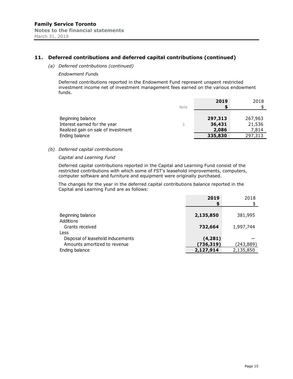# **11. Deferred contributions and deferred capital contributions (continued)**

*(a) Deferred contributions (continued)* 

#### *Endowment Funds*

Deferred contributions reported in the Endowment Fund represent unspent restricted investment income net of investment management fees earned on the various endowment funds.

|                                     | Note | 2019    | 2018    |
|-------------------------------------|------|---------|---------|
| Beginning balance                   | 3.   | 297,313 | 267,963 |
| Interest earned for the year        |      | 36,431  | 21,536  |
| Realized gain on sale of investment |      | 2,086   | 7,814   |
| Ending balance                      |      | 335,830 | 297,313 |

#### *(b) Deferred capital contributions*

#### *Capital and Learning Fund*

Deferred capital contributions reported in the Capital and Learning Fund consist of the restricted contributions with which some of FST's leasehold improvements, computers, computer software and furniture and equipment were originally purchased.

The changes for the year in the deferred capital contributions balance reported in the Capital and Learning Fund are as follows:

|                                                                                     | 2019                               | 2018                    |
|-------------------------------------------------------------------------------------|------------------------------------|-------------------------|
|                                                                                     |                                    |                         |
| Beginning balance<br>Additions                                                      | 2,135,850                          | 381,995                 |
| Grants received<br>Less                                                             | 732,664                            | 1,997,744               |
| Disposal of leasehold inducements<br>Amounts amortized to revenue<br>Ending balance | (4, 281)<br>(736,319)<br>2,127,914 | (243, 889)<br>2,135,850 |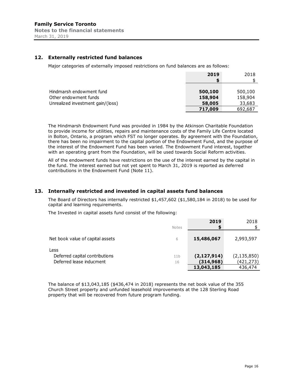# **12. Externally restricted fund balances**

Major categories of externally imposed restrictions on fund balances are as follows:

|                                   | 2019    | 2018    |
|-----------------------------------|---------|---------|
| Hindmarsh endowment fund          | 500,100 | 500,100 |
| Other endowment funds             | 158,904 | 158,904 |
| Unrealized investment gain/(loss) | 58,005  | 33,683  |
|                                   | 717,009 | 692,687 |

The Hindmarsh Endowment Fund was provided in 1984 by the Atkinson Charitable Foundation to provide income for utilities, repairs and maintenance costs of the Family Life Centre located in Bolton, Ontario, a program which FST no longer operates. By agreement with the Foundation, there has been no impairment to the capital portion of the Endowment Fund, and the purpose of the interest of the Endowment Fund has been varied. The Endowment Fund interest, together with an operating grant from the Foundation, will be used towards Social Reform activities.

All of the endowment funds have restrictions on the use of the interest earned by the capital in the fund. The interest earned but not yet spent to March 31, 2019 is reported as deferred contributions in the Endowment Fund (Note 11).

#### **13. Internally restricted and invested in capital assets fund balances**

The Board of Directors has internally restricted \$1,457,602 (\$1,580,184 in 2018) to be used for capital and learning requirements.

The Invested in capital assets fund consist of the following:

|                                                                    | <b>Notes</b>          | 2019                        | 2018                        |
|--------------------------------------------------------------------|-----------------------|-----------------------------|-----------------------------|
| Net book value of capital assets                                   | 6                     | 15,486,067                  | 2,993,597                   |
| Less<br>Deferred capital contributions<br>Deferred lease inducment | 11 <sub>b</sub><br>16 | (2, 127, 914)<br>(314, 968) | (2, 135, 850)<br>(421, 273) |
|                                                                    |                       | 13,043,185                  | 436,474                     |

The balance of \$13,043,185 (\$436,474 in 2018) represents the net book value of the 355 Church Street property and unfunded leasehold improvements at the 128 Sterling Road property that will be recovered from future program funding.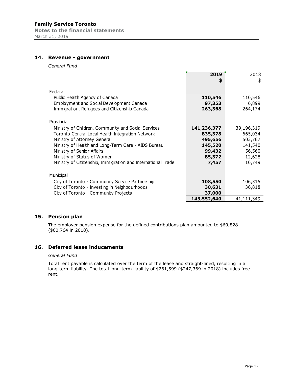# **14. Revenue - government**

*General Fund* 

|                                                                                                                                                                                                                                                                                                                             | 2019                                                                      | 2018                                                                      |
|-----------------------------------------------------------------------------------------------------------------------------------------------------------------------------------------------------------------------------------------------------------------------------------------------------------------------------|---------------------------------------------------------------------------|---------------------------------------------------------------------------|
|                                                                                                                                                                                                                                                                                                                             | S                                                                         | \$                                                                        |
| Federal<br>Public Health Agency of Canada<br><b>Employment and Social Development Canada</b><br>Immigration, Refugees and Citizenship Canada                                                                                                                                                                                | 110,546<br>97,353<br>263,368                                              | 110,546<br>6,899<br>264,174                                               |
| Provincial                                                                                                                                                                                                                                                                                                                  |                                                                           |                                                                           |
| Ministry of Children, Community and Social Services<br>Toronto Central Local Health Integration Network<br>Ministry of Attorney General<br>Ministry of Health and Long-Term Care - AIDS Bureau<br>Ministry of Senior Affairs<br>Ministry of Status of Women<br>Ministry of Citizenship, Immigration and International Trade | 141,236,377<br>835,378<br>495,656<br>145,520<br>99,432<br>85,372<br>7,457 | 39,196,319<br>665,034<br>503,767<br>141,540<br>56,560<br>12,628<br>10,749 |
| Municipal                                                                                                                                                                                                                                                                                                                   |                                                                           |                                                                           |
| City of Toronto - Community Service Partnership                                                                                                                                                                                                                                                                             | 108,550                                                                   | 106,315                                                                   |
| City of Toronto - Investing in Neighbourhoods                                                                                                                                                                                                                                                                               | 30,631                                                                    | 36,818                                                                    |
| City of Toronto - Community Projects                                                                                                                                                                                                                                                                                        | 37,000                                                                    |                                                                           |
|                                                                                                                                                                                                                                                                                                                             | 143,552,640                                                               | 41,111,349                                                                |

# **15. Pension plan**

The employer pension expense for the defined contributions plan amounted to \$60,828 (\$60,764 in 2018).

# **16. Deferred lease inducements**

#### *General Fund*

Total rent payable is calculated over the term of the lease and straight-lined, resulting in a long-term liability. The total long-term liability of \$261,599 (\$247,369 in 2018) includes free rent.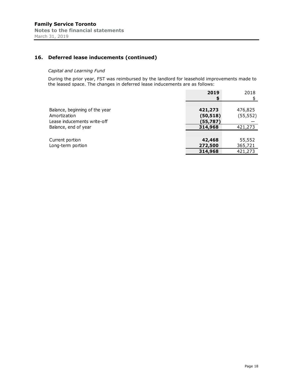# **16. Deferred lease inducements (continued)**

# *Capital and Learning Fund*

During the prior year, FST was reimbursed by the landlord for leasehold improvements made to the leased space. The changes in deferred lease inducements are as follows:

|                                | 2019      | 2018      |
|--------------------------------|-----------|-----------|
|                                |           |           |
|                                |           |           |
| Balance, beginning of the year | 421,273   | 476,825   |
| Amortization                   | (50, 518) | (55, 552) |
| Lease inducements write-off    | (55,787)  |           |
| Balance, end of year           | 314,968   | 421,273   |
|                                |           |           |
| Current portion                | 42,468    | 55,552    |
| Long-term portion              | 272,500   | 365,721   |
|                                | 314,968   | 421,273   |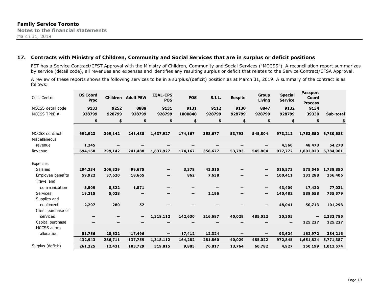# **17. Contracts with Ministry of Children, Community and Social Services that are in surplus or deficit positions**

FST has a Service Contract/CFST Approval with the Ministry of Children, Community and Social Services ("MCCSS"). A reconciliation report summarizes by service (detail code), all revenues and expenses and identifies any resulting surplus or deficit that relates to the Service Contract/CFSA Approval.

A review of these reports shows the following services to be in a surplus/(deficit) position as at March 31, 2019. A summary of the contract is as follows:

| Cost Centre           | <b>DS Coord</b><br><b>Proc</b> | Children | <b>Adult PSW</b> | <b>IQAL-CPS</b><br><b>POS</b> | <b>POS</b>        | <b>S.I.L.</b> | Respite | Group<br>Living                         | <b>Special</b><br><b>Service</b> | Passport<br>Coord<br><b>Process</b> |           |
|-----------------------|--------------------------------|----------|------------------|-------------------------------|-------------------|---------------|---------|-----------------------------------------|----------------------------------|-------------------------------------|-----------|
| MCCSS detail code     | 9133                           | 9252     | 8888             | 9131                          | 9131              | 9112          | 9130    | 8847                                    | 9132                             | 9134                                |           |
| MCCSS TPBE #          | 928799                         | 928799   | 928799           | 928799                        | 1000840           | 928799        | 928799  | 928799                                  | 928799                           | 39330                               | Sub-total |
|                       | \$                             | \$       | \$               | \$                            | \$                | \$            | \$      | \$                                      | \$                               | \$                                  | \$        |
| <b>MCCSS</b> contract |                                |          |                  |                               |                   |               |         |                                         |                                  |                                     |           |
| Miscellaneous         | 692,923                        | 299,142  | 241,488          | 1,637,927                     | 174,167           | 358,677       | 53,793  | 545,804                                 | 973,212                          | 1,753,550                           | 6,730,683 |
| revenue               | 1,245                          |          |                  |                               |                   |               |         |                                         | 4,560                            | 48,473                              | 54,278    |
| Revenue               | 694,168                        | 299,142  | 241,488          | 1,637,927                     | 174,167           | 358,677       | 53,793  | 545,804                                 | 977,772                          | 1,802,023                           | 6,784,961 |
|                       |                                |          |                  |                               |                   |               |         |                                         |                                  |                                     |           |
| Expenses              |                                |          |                  |                               |                   |               |         |                                         |                                  |                                     |           |
| Salaries              | 294,334                        | 206,329  | 99,675           | $\qquad \qquad$               | 3,378             | 43,015        |         |                                         | 516,573                          | 575,546                             | 1,738,850 |
| Employee benefits     | 59,922                         | 37,620   | 18,665           |                               | 862               | 7,638         |         | -                                       | 100,411                          | 131,288                             | 356,406   |
| Travel and            |                                |          |                  |                               |                   |               |         |                                         |                                  |                                     |           |
| communication         | 5,509                          | 8,822    | 1,871            |                               | —                 |               |         | $\qquad \qquad \  \  \, -\qquad \qquad$ | 43,409                           | 17,420                              | 77,031    |
| Services              | 19,215                         | 5,028    |                  |                               | $\qquad \qquad -$ | 2,196         |         | $\qquad \qquad -$                       | 140,482                          | 588,658                             | 755,579   |
| Supplies and          |                                |          |                  |                               |                   |               |         |                                         |                                  |                                     |           |
| equipment             | 2,207                          | 280      | 52               |                               |                   |               |         | -                                       | 48,041                           | 50,713                              | 101,293   |
| Client purchase of    |                                |          |                  |                               |                   |               |         |                                         |                                  |                                     |           |
| services              |                                |          | $\qquad \qquad$  | 1,318,112                     | 142,630           | 216,687       | 40,029  | 485,022                                 | 30,305                           |                                     | 2,232,785 |
| Capital purchase      |                                |          |                  |                               |                   |               |         |                                         |                                  | 125,227                             | 125,227   |
| MCCSS admin           |                                |          |                  |                               |                   |               |         |                                         |                                  |                                     |           |
| allocation            | 51,756                         | 28,632   | 17,496           | -                             | 17,412            | 12,324        |         | $\qquad \qquad -$                       | 93,624                           | 162,972                             | 384,216   |
|                       | 432,943                        | 286,711  | 137,759          | 1,318,112                     | 164,282           | 281,860       | 40,029  | 485,022                                 | 972,845                          | 1,651,824                           | 5,771,387 |
| Surplus (deficit)     | 261,225                        | 12,431   | 103,729          | 319,815                       | 9,885             | 76,817        | 13,764  | 60,782                                  | 4,927                            | 150,199                             | 1,013,574 |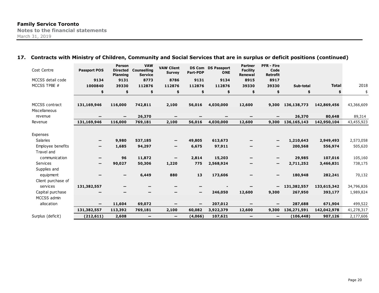| Cost Centre<br>MCCSS detail code<br>MCCSS TPBE # | <b>Passport POS</b><br>9134<br>1000840 | Person<br><b>Directed</b><br><b>Planning</b><br>9131<br>39330 | <b>VAW</b><br>Counselling<br><b>Service</b><br>8773<br>112876 | <b>VAW Client</b><br><b>Survey</b><br>8786<br>112876 | Part-PDP<br>9131<br>112876 | <b>DS Com DS Passport</b><br><b>ONE</b><br>9134<br>112876 | Partner<br><b>Facility</b><br>Renewal<br>8915<br>39330 | <b>PFR</b> - Fire<br>Code<br><b>Retrofit</b><br>8917<br>39330 | Sub-total   | <b>Total</b> | 2018       |
|--------------------------------------------------|----------------------------------------|---------------------------------------------------------------|---------------------------------------------------------------|------------------------------------------------------|----------------------------|-----------------------------------------------------------|--------------------------------------------------------|---------------------------------------------------------------|-------------|--------------|------------|
|                                                  | \$                                     | \$                                                            | \$                                                            | \$                                                   | \$                         | \$                                                        | \$                                                     | \$                                                            | \$          | \$           | \$         |
| MCCSS contract                                   | 131,169,946                            | 116,000                                                       | 742,811                                                       | 2,100                                                | 56,016                     | 4,030,000                                                 | 12,600                                                 | 9,300                                                         | 136,138,773 | 142,869,456  | 43,366,609 |
| Miscellaneous                                    |                                        |                                                               |                                                               |                                                      |                            |                                                           |                                                        |                                                               |             |              |            |
| revenue                                          |                                        |                                                               | 26,370                                                        |                                                      |                            |                                                           |                                                        |                                                               | 26,370      | 80,648       | 89,314     |
| Revenue                                          | 131,169,946                            | 116,000                                                       | 769,181                                                       | 2,100                                                | 56,016                     | 4,030,000                                                 | 12,600                                                 | 9,300                                                         | 136,165,143 | 142,950,104  | 43,455,923 |
| Expenses                                         |                                        |                                                               |                                                               |                                                      |                            |                                                           |                                                        |                                                               |             |              |            |
| <b>Salaries</b>                                  | -                                      | 9,980                                                         | 537,185                                                       | $\qquad \qquad$                                      | 49,805                     | 613,673                                                   |                                                        | $\qquad \qquad \blacksquare$                                  | 1,210,643   | 2,949,493    | 2,573,058  |
| Employee benefits                                | -                                      | 1,685                                                         | 94,297                                                        | -                                                    | 6,675                      | 97,911                                                    |                                                        |                                                               | 200,568     | 556,974      | 505,620    |
| Travel and                                       |                                        |                                                               |                                                               |                                                      |                            |                                                           |                                                        |                                                               |             |              |            |
| communication                                    |                                        | 96                                                            | 11,872                                                        |                                                      | 2,814                      | 15,203                                                    |                                                        |                                                               | 29,985      | 107,016      | 105,160    |
| Services                                         | -                                      | 90,027                                                        | 50,306                                                        | 1,220                                                | 775                        | 2,568,924                                                 |                                                        | -                                                             | 2,711,252   | 3,466,831    | 738,175    |
| Supplies and<br>equipment                        |                                        | -                                                             | 6,449                                                         | 880                                                  | 13                         | 173,606                                                   |                                                        |                                                               | 180,948     | 282,241      | 70,132     |
| Client purchase of<br>services                   |                                        |                                                               |                                                               |                                                      |                            |                                                           |                                                        |                                                               |             |              |            |
|                                                  | 131,382,557                            |                                                               | $\qquad \qquad \blacksquare$                                  |                                                      | —                          |                                                           |                                                        | $-$                                                           | 131,382,557 | 133,615,342  | 34,796,826 |
| Capital purchase<br>MCCSS admin                  |                                        |                                                               |                                                               |                                                      | -                          | 246,050                                                   | 12,600                                                 | 9,300                                                         | 267,950     | 393,177      | 1,989,824  |
| allocation                                       |                                        |                                                               | 69,072                                                        |                                                      |                            |                                                           |                                                        |                                                               |             |              |            |
|                                                  | -                                      | 11,604                                                        |                                                               |                                                      | -                          | 207,012                                                   |                                                        |                                                               | 287,688     | 671,904      | 499,522    |
|                                                  | 131,382,557                            | 113,392                                                       | 769,181                                                       | 2,100                                                | 60,082                     | 3,922,379                                                 | 12,600                                                 | 9,300                                                         | 136,271,591 | 142,042,978  | 41,278,317 |
| Surplus (deficit)                                | (212, 611)                             | 2,608                                                         | —                                                             | -                                                    | (4,066)                    | 107,621                                                   | —                                                      | $\overline{\phantom{m}}$                                      | (106, 448)  | 907,126      | 2,177,606  |

# **17. Contracts with Ministry of Children, Community and Social Services that are in surplus or deficit positions (continued)**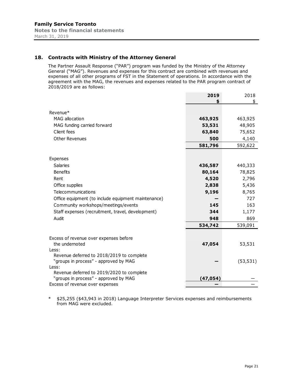# **18. Contracts with Ministry of the Attorney General**

The Partner Assault Response ("PAR") program was funded by the Ministry of the Attorney General ("MAG"). Revenues and expenses for this contract are combined with revenues and expenses of all other programs of FST in the Statement of operations. In accordance with the agreement with the MAG, the revenues and expenses related to the PAR program contract of 2018/2019 are as follows:

|                                                     | 2019      | 2018      |
|-----------------------------------------------------|-----------|-----------|
|                                                     |           | \$        |
|                                                     |           |           |
| Revenue*                                            |           |           |
| MAG allocation                                      | 463,925   | 463,925   |
| MAG funding carried forward                         | 53,531    | 48,905    |
| Client fees                                         | 63,840    | 75,652    |
| <b>Other Revenues</b>                               | 500       | 4,140     |
|                                                     | 581,796   | 592,622   |
|                                                     |           |           |
| Expenses                                            |           |           |
| <b>Salaries</b>                                     | 436,587   | 440,333   |
| <b>Benefits</b>                                     | 80,164    | 78,825    |
| Rent                                                | 4,520     | 2,796     |
| Office supplies                                     | 2,838     | 5,436     |
| Telecommunications                                  | 9,196     | 8,765     |
| Office equipment (to include equipment maintenance) |           | 727       |
| Community workshops/meetings/events                 | 145       | 163       |
| Staff expenses (recruitment, travel, development)   | 344       | 1,177     |
| Audit                                               | 948       | 869       |
|                                                     | 534,742   | 539,091   |
|                                                     |           |           |
| Excess of revenue over expenses before              |           |           |
| the undernoted                                      | 47,054    | 53,531    |
| Less:                                               |           |           |
| Revenue deferred to 2018/2019 to complete           |           |           |
| "groups in process" - approved by MAG               |           | (53, 531) |
| Less:                                               |           |           |
| Revenue deferred to 2019/2020 to complete           |           |           |
| "groups in process" - approved by MAG               | (47, 054) |           |
| Excess of revenue over expenses                     |           |           |

\* \$25,255 (\$43,943 in 2018) Language Interpreter Services expenses and reimbursements from MAG were excluded.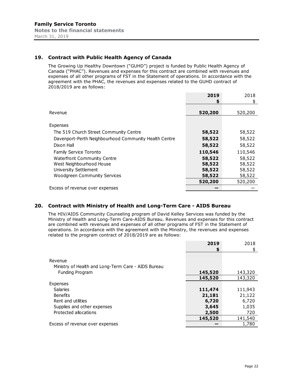# **19. Contract with Public Health Agency of Canada**

The Growing Up Healthy Downtown ("GUHD") project is funded by Public Health Agency of Canada ("PHAC"). Revenues and expenses for this contract are combined with revenues and expenses of all other programs of FST in the Statement of operations. In accordance with the agreement with the PHAC, the revenues and expenses related to the GUHD contract of 2018/2019 are as follows:

|                                                       | 2019    | 2018    |
|-------------------------------------------------------|---------|---------|
|                                                       | \$      | \$      |
|                                                       |         |         |
| Revenue                                               | 520,200 | 520,200 |
|                                                       |         |         |
| Expenses                                              |         |         |
| The 519 Church Street Community Centre                | 58,522  | 58,522  |
| Davenport-Perth Neighbourhood Community Health Centre | 58,522  | 58,522  |
| Dixon Hall                                            | 58,522  | 58,522  |
| Family Service Toronto                                | 110,546 | 110,546 |
| <b>Waterfront Community Centre</b>                    | 58,522  | 58,522  |
| West Neighbourhood House                              | 58,522  | 58,522  |
| <b>University Settlement</b>                          | 58,522  | 58,522  |
| <b>Woodgreen Community Services</b>                   | 58,522  | 58,522  |
|                                                       | 520,200 | 520,200 |
| Excess of revenue over expenses                       |         |         |

# **20. Contract with Ministry of Health and Long-Term Care - AIDS Bureau**

The HIV/AIDS Community Counseling program of David Kelley Services was funded by the Ministry of Health and Long-Term Care-AIDS Bureau. Revenues and expenses for this contract are combined with revenues and expenses of all other programs of FST in the Statement of operations. In accordance with the agreement with the Ministry, the revenues and expenses related to the program contract of 2018/2019 are as follows:

| S                                                   | \$ |
|-----------------------------------------------------|----|
|                                                     |    |
|                                                     |    |
| Revenue                                             |    |
| Ministry of Health and Long-Term Care - AIDS Bureau |    |
| Funding Program<br>145,520<br>143,320               |    |
| 143,320<br>145,520                                  |    |
| Expenses                                            |    |
| Salaries<br>111,474<br>111,943                      |    |
| 21,122<br>21,181<br><b>Benefits</b>                 |    |
| 6,720<br>Rent and utilities<br>6,720                |    |
| Supplies and other expenses<br>1,035<br>3,645       |    |
| Protected allocations<br>720<br>2,500               |    |
| 145,520<br>141,540                                  |    |
| 1,780<br>Excess of revenue over expenses            |    |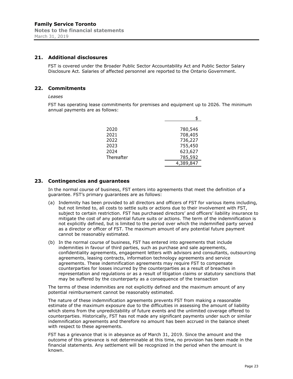#### **21. Additional disclosures**

FST is covered under the Broader Public Sector Accountability Act and Public Sector Salary Disclosure Act. Salaries of affected personnel are reported to the Ontario Government.

# **22. Commitments**

#### *Leases*

FST has operating lease commitments for premises and equipment up to 2026. The minimum annual payments are as follows:

| 2020       | 780,546   |
|------------|-----------|
| 2021       | 708,405   |
| 2022       | 736,227   |
| 2023       | 755,450   |
| 2024       | 623,627   |
| Thereafter | 785,592   |
|            | 4,389,847 |

#### **23. Contingencies and guarantees**

In the normal course of business, FST enters into agreements that meet the definition of a guarantee. FST's primary guarantees are as follows:

- (a) Indemnity has been provided to all directors and officers of FST for various items including, but not limited to, all costs to settle suits or actions due to their involvement with FST, subject to certain restriction. FST has purchased directors' and officers' liability insurance to mitigate the cost of any potential future suits or actions. The term of the indemnification is not explicitly defined, but is limited to the period over which the indemnified party served as a director or officer of FST. The maximum amount of any potential future payment cannot be reasonably estimated.
- (b) In the normal course of business, FST has entered into agreements that include indemnities in favour of third parties, such as purchase and sale agreements, confidentiality agreements, engagement letters with advisors and consultants, outsourcing agreements, leasing contracts, information technology agreements and service agreements. These indemnification agreements may require FST to compensate counterparties for losses incurred by the counterparties as a result of breaches in representation and regulations or as a result of litigation claims or statutory sanctions that may be suffered by the counterparty as a consequence of the transaction

The terms of these indemnities are not explicitly defined and the maximum amount of any potential reimbursement cannot be reasonably estimated.

The nature of these indemnification agreements prevents FST from making a reasonable estimate of the maximum exposure due to the difficulties in assessing the amount of liability which stems from the unpredictability of future events and the unlimited coverage offered to counterparties. Historically, FST has not made any significant payments under such or similar indemnification agreements and therefore no amount has been accrued in the balance sheet with respect to these agreements.

FST has a grievance that is in abeyance as of March 31, 2019. Since the amount and the outcome of this grievance is not determinable at this time, no provision has been made in the financial statements. Any settlement will be recognized in the period when the amount is known.